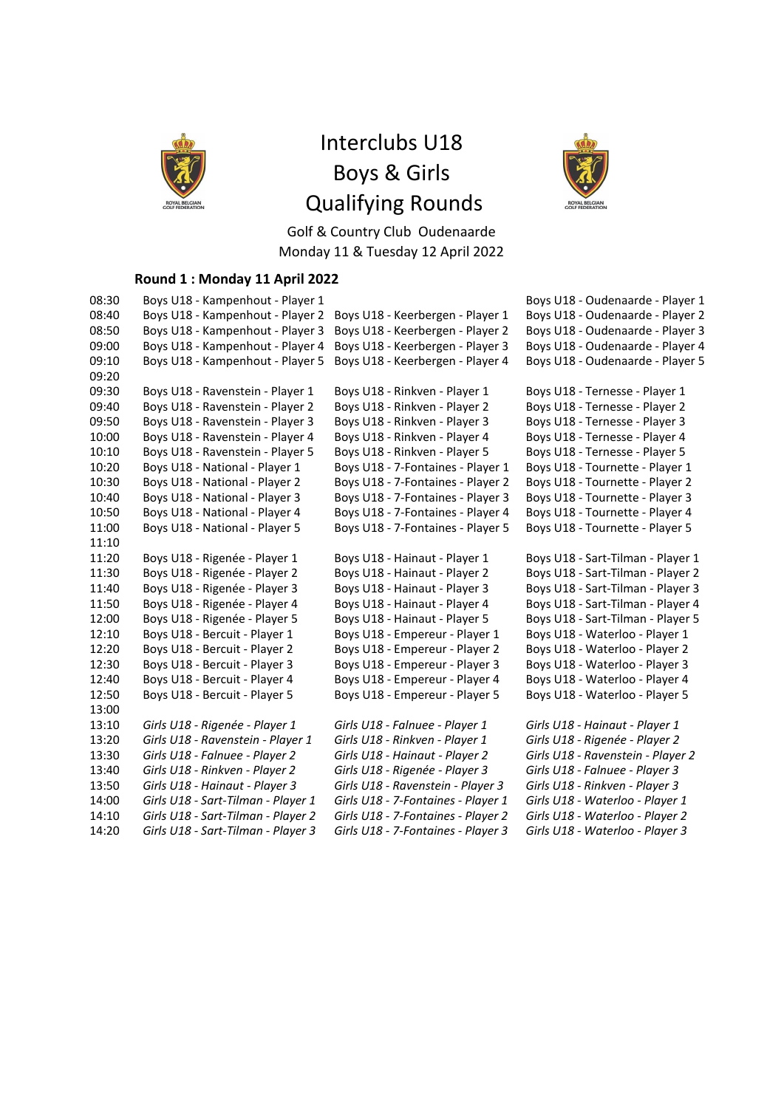

# Interclubs U18 Boys & Girls Qualifying Rounds



Golf & Country Club Oudenaarde Monday 11 & Tuesday 12 April 2022

### **Round 1 : Monday 11 April 2022**

| 08:30 | Boys U18 - Kampenhout - Player 1   |                                    | Boys U18 - Oudenaarde - Player 1  |
|-------|------------------------------------|------------------------------------|-----------------------------------|
| 08:40 | Boys U18 - Kampenhout - Player 2   | Boys U18 - Keerbergen - Player 1   | Boys U18 - Oudenaarde - Player 2  |
| 08:50 | Boys U18 - Kampenhout - Player 3   | Boys U18 - Keerbergen - Player 2   | Boys U18 - Oudenaarde - Player 3  |
| 09:00 | Boys U18 - Kampenhout - Player 4   | Boys U18 - Keerbergen - Player 3   | Boys U18 - Oudenaarde - Player 4  |
| 09:10 | Boys U18 - Kampenhout - Player 5   | Boys U18 - Keerbergen - Player 4   | Boys U18 - Oudenaarde - Player 5  |
| 09:20 |                                    |                                    |                                   |
| 09:30 | Boys U18 - Ravenstein - Player 1   | Boys U18 - Rinkven - Player 1      | Boys U18 - Ternesse - Player 1    |
| 09:40 | Boys U18 - Ravenstein - Player 2   | Boys U18 - Rinkven - Player 2      | Boys U18 - Ternesse - Player 2    |
| 09:50 | Boys U18 - Ravenstein - Player 3   | Boys U18 - Rinkven - Player 3      | Boys U18 - Ternesse - Player 3    |
| 10:00 | Boys U18 - Ravenstein - Player 4   | Boys U18 - Rinkven - Player 4      | Boys U18 - Ternesse - Player 4    |
| 10:10 | Boys U18 - Ravenstein - Player 5   | Boys U18 - Rinkven - Player 5      | Boys U18 - Ternesse - Player 5    |
| 10:20 | Boys U18 - National - Player 1     | Boys U18 - 7-Fontaines - Player 1  | Boys U18 - Tournette - Player 1   |
| 10:30 | Boys U18 - National - Player 2     | Boys U18 - 7-Fontaines - Player 2  | Boys U18 - Tournette - Player 2   |
| 10:40 | Boys U18 - National - Player 3     | Boys U18 - 7-Fontaines - Player 3  | Boys U18 - Tournette - Player 3   |
| 10:50 | Boys U18 - National - Player 4     | Boys U18 - 7-Fontaines - Player 4  | Boys U18 - Tournette - Player 4   |
| 11:00 | Boys U18 - National - Player 5     | Boys U18 - 7-Fontaines - Player 5  | Boys U18 - Tournette - Player 5   |
| 11:10 |                                    |                                    |                                   |
| 11:20 | Boys U18 - Rigenée - Player 1      | Boys U18 - Hainaut - Player 1      | Boys U18 - Sart-Tilman - Player 1 |
| 11:30 | Boys U18 - Rigenée - Player 2      | Boys U18 - Hainaut - Player 2      | Boys U18 - Sart-Tilman - Player 2 |
| 11:40 | Boys U18 - Rigenée - Player 3      | Boys U18 - Hainaut - Player 3      | Boys U18 - Sart-Tilman - Player 3 |
| 11:50 | Boys U18 - Rigenée - Player 4      | Boys U18 - Hainaut - Player 4      | Boys U18 - Sart-Tilman - Player 4 |
| 12:00 | Boys U18 - Rigenée - Player 5      | Boys U18 - Hainaut - Player 5      | Boys U18 - Sart-Tilman - Player 5 |
| 12:10 | Boys U18 - Bercuit - Player 1      | Boys U18 - Empereur - Player 1     | Boys U18 - Waterloo - Player 1    |
| 12:20 | Boys U18 - Bercuit - Player 2      | Boys U18 - Empereur - Player 2     | Boys U18 - Waterloo - Player 2    |
| 12:30 | Boys U18 - Bercuit - Player 3      | Boys U18 - Empereur - Player 3     | Boys U18 - Waterloo - Player 3    |
| 12:40 | Boys U18 - Bercuit - Player 4      | Boys U18 - Empereur - Player 4     | Boys U18 - Waterloo - Player 4    |
| 12:50 | Boys U18 - Bercuit - Player 5      | Boys U18 - Empereur - Player 5     | Boys U18 - Waterloo - Player 5    |
| 13:00 |                                    |                                    |                                   |
| 13:10 | Girls U18 - Rigenée - Player 1     | Girls U18 - Falnuee - Player 1     | Girls U18 - Hainaut - Player 1    |
| 13:20 | Girls U18 - Ravenstein - Player 1  | Girls U18 - Rinkven - Player 1     | Girls U18 - Rigenée - Player 2    |
| 13:30 | Girls U18 - Falnuee - Player 2     | Girls U18 - Hainaut - Player 2     | Girls U18 - Ravenstein - Player 2 |
| 13:40 | Girls U18 - Rinkven - Player 2     | Girls U18 - Rigenée - Player 3     | Girls U18 - Falnuee - Player 3    |
| 13:50 | Girls U18 - Hainaut - Player 3     | Girls U18 - Ravenstein - Player 3  | Girls U18 - Rinkven - Player 3    |
| 14:00 | Girls U18 - Sart-Tilman - Player 1 | Girls U18 - 7-Fontaines - Player 1 | Girls U18 - Waterloo - Player 1   |
| 14:10 | Girls U18 - Sart-Tilman - Player 2 | Girls U18 - 7-Fontaines - Player 2 | Girls U18 - Waterloo - Player 2   |
| 14:20 | Girls U18 - Sart-Tilman - Player 3 | Girls U18 - 7-Fontaines - Player 3 | Girls U18 - Waterloo - Player 3   |
|       |                                    |                                    |                                   |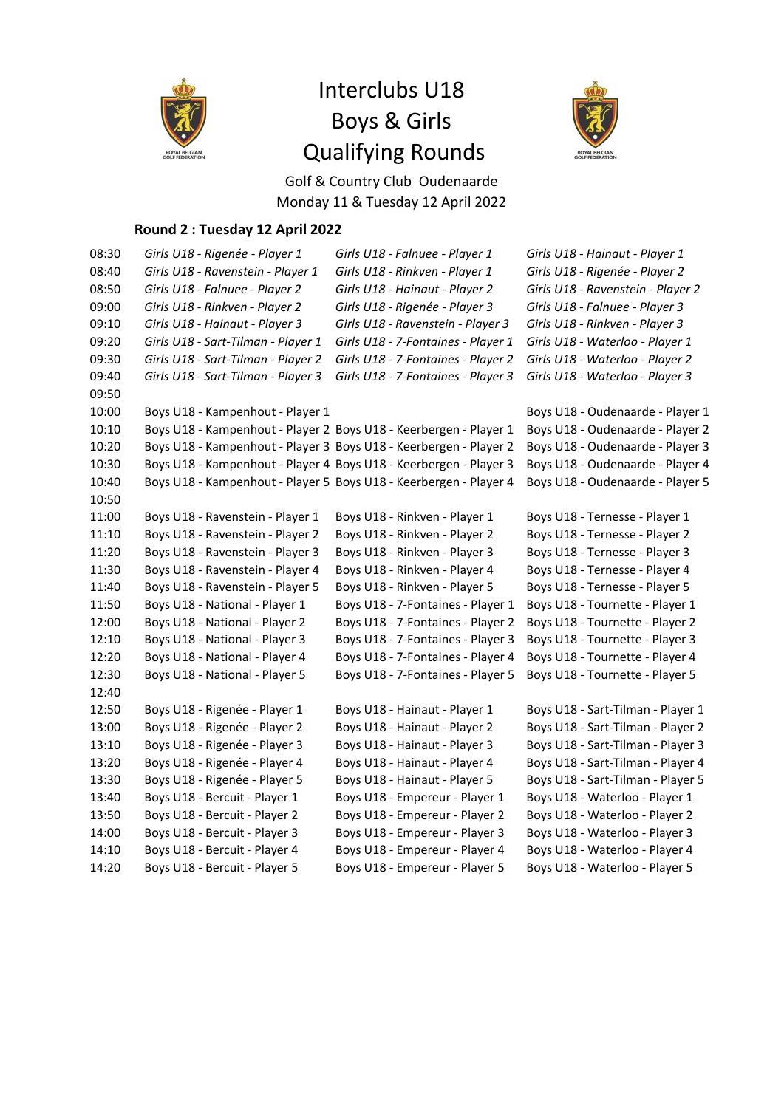

# Interclubs U18 Boys & Girls Qualifying Rounds



Golf & Country Club Oudenaarde Monday 11 & Tuesday 12 April 2022

### **Round 2 : Tuesday 12 April 2022**

| 08:30 | Girls U18 - Rigenée - Player 1                                    | Girls U18 - Falnuee - Player 1     | Girls U18 - Hainaut - Player 1    |
|-------|-------------------------------------------------------------------|------------------------------------|-----------------------------------|
| 08:40 | Girls U18 - Ravenstein - Player 1                                 | Girls U18 - Rinkven - Player 1     | Girls U18 - Rigenée - Player 2    |
| 08:50 | Girls U18 - Falnuee - Player 2                                    | Girls U18 - Hainaut - Player 2     | Girls U18 - Ravenstein - Player 2 |
| 09:00 | Girls U18 - Rinkven - Player 2                                    | Girls U18 - Rigenée - Player 3     | Girls U18 - Falnuee - Player 3    |
| 09:10 | Girls U18 - Hainaut - Player 3                                    | Girls U18 - Ravenstein - Player 3  | Girls U18 - Rinkven - Player 3    |
| 09:20 | Girls U18 - Sart-Tilman - Player 1                                | Girls U18 - 7-Fontaines - Player 1 | Girls U18 - Waterloo - Player 1   |
| 09:30 | Girls U18 - Sart-Tilman - Player 2                                | Girls U18 - 7-Fontaines - Player 2 | Girls U18 - Waterloo - Player 2   |
| 09:40 | Girls U18 - Sart-Tilman - Player 3                                | Girls U18 - 7-Fontaines - Player 3 | Girls U18 - Waterloo - Player 3   |
| 09:50 |                                                                   |                                    |                                   |
| 10:00 | Boys U18 - Kampenhout - Player 1                                  |                                    | Boys U18 - Oudenaarde - Player 1  |
| 10:10 | Boys U18 - Kampenhout - Player 2 Boys U18 - Keerbergen - Player 1 |                                    | Boys U18 - Oudenaarde - Player 2  |
| 10:20 | Boys U18 - Kampenhout - Player 3 Boys U18 - Keerbergen - Player 2 |                                    | Boys U18 - Oudenaarde - Player 3  |
| 10:30 | Boys U18 - Kampenhout - Player 4 Boys U18 - Keerbergen - Player 3 |                                    | Boys U18 - Oudenaarde - Player 4  |
| 10:40 | Boys U18 - Kampenhout - Player 5 Boys U18 - Keerbergen - Player 4 |                                    | Boys U18 - Oudenaarde - Player 5  |
| 10:50 |                                                                   |                                    |                                   |
| 11:00 | Boys U18 - Ravenstein - Player 1                                  | Boys U18 - Rinkven - Player 1      | Boys U18 - Ternesse - Player 1    |
| 11:10 | Boys U18 - Ravenstein - Player 2                                  | Boys U18 - Rinkven - Player 2      | Boys U18 - Ternesse - Player 2    |
| 11:20 | Boys U18 - Ravenstein - Player 3                                  | Boys U18 - Rinkven - Player 3      | Boys U18 - Ternesse - Player 3    |
| 11:30 | Boys U18 - Ravenstein - Player 4                                  | Boys U18 - Rinkven - Player 4      | Boys U18 - Ternesse - Player 4    |
| 11:40 | Boys U18 - Ravenstein - Player 5                                  | Boys U18 - Rinkven - Player 5      | Boys U18 - Ternesse - Player 5    |
| 11:50 | Boys U18 - National - Player 1                                    | Boys U18 - 7-Fontaines - Player 1  | Boys U18 - Tournette - Player 1   |
| 12:00 | Boys U18 - National - Player 2                                    | Boys U18 - 7-Fontaines - Player 2  | Boys U18 - Tournette - Player 2   |
| 12:10 | Boys U18 - National - Player 3                                    | Boys U18 - 7-Fontaines - Player 3  | Boys U18 - Tournette - Player 3   |
| 12:20 | Boys U18 - National - Player 4                                    | Boys U18 - 7-Fontaines - Player 4  | Boys U18 - Tournette - Player 4   |
| 12:30 | Boys U18 - National - Player 5                                    | Boys U18 - 7-Fontaines - Player 5  | Boys U18 - Tournette - Player 5   |
| 12:40 |                                                                   |                                    |                                   |
| 12:50 | Boys U18 - Rigenée - Player 1                                     | Boys U18 - Hainaut - Player 1      | Boys U18 - Sart-Tilman - Player 1 |
| 13:00 | Boys U18 - Rigenée - Player 2                                     | Boys U18 - Hainaut - Player 2      | Boys U18 - Sart-Tilman - Player 2 |
| 13:10 | Boys U18 - Rigenée - Player 3                                     | Boys U18 - Hainaut - Player 3      | Boys U18 - Sart-Tilman - Player 3 |
| 13:20 | Boys U18 - Rigenée - Player 4                                     | Boys U18 - Hainaut - Player 4      | Boys U18 - Sart-Tilman - Player 4 |
| 13:30 | Boys U18 - Rigenée - Player 5                                     | Boys U18 - Hainaut - Player 5      | Boys U18 - Sart-Tilman - Player 5 |
| 13:40 | Boys U18 - Bercuit - Player 1                                     | Boys U18 - Empereur - Player 1     | Boys U18 - Waterloo - Player 1    |
| 13:50 | Boys U18 - Bercuit - Player 2                                     | Boys U18 - Empereur - Player 2     | Boys U18 - Waterloo - Player 2    |
| 14:00 | Boys U18 - Bercuit - Player 3                                     | Boys U18 - Empereur - Player 3     | Boys U18 - Waterloo - Player 3    |
| 14:10 | Boys U18 - Bercuit - Player 4                                     | Boys U18 - Empereur - Player 4     | Boys U18 - Waterloo - Player 4    |
| 14:20 | Boys U18 - Bercuit - Player 5                                     | Boys U18 - Empereur - Player 5     | Boys U18 - Waterloo - Player 5    |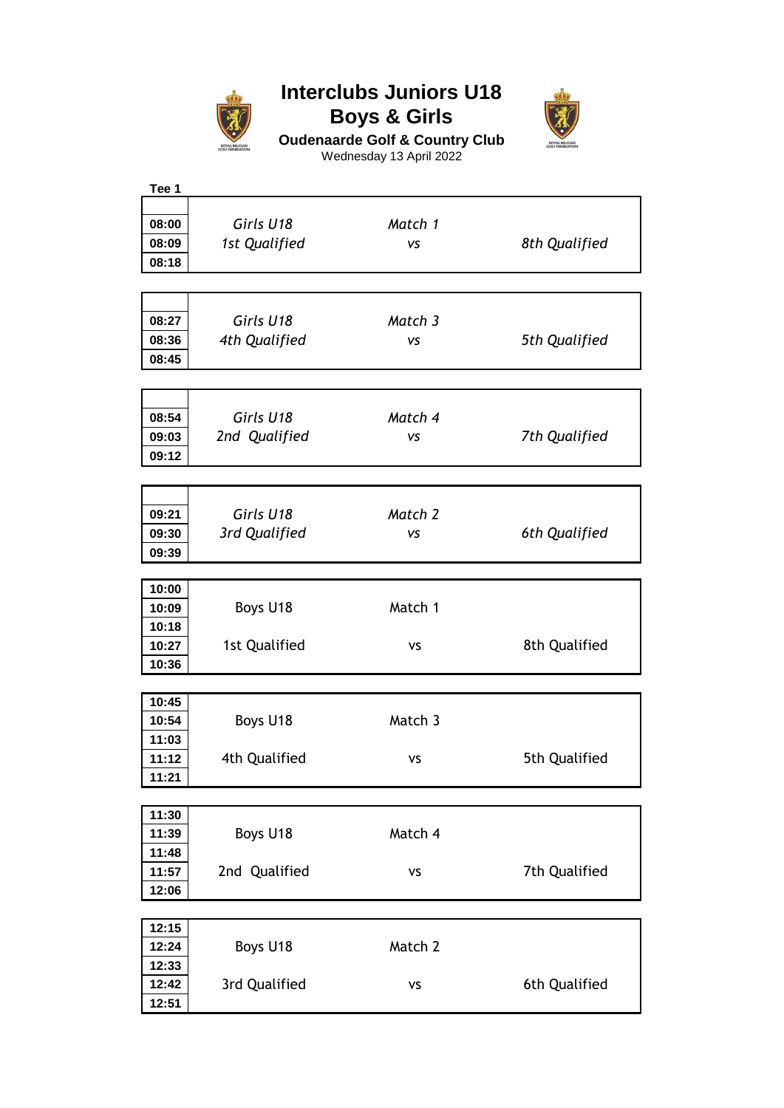

### **Interclubs Juniors U18 Boys & Girls**



**Oudenaarde Golf & Country Club** Wednesday 13 April 2022

| Tee 1 |               |           |               |
|-------|---------------|-----------|---------------|
|       |               |           |               |
| 08:00 | Girls U18     | Match 1   |               |
| 08:09 | 1st Qualified | VS        | 8th Qualified |
| 08:18 |               |           |               |
|       |               |           |               |
|       |               |           |               |
|       |               |           |               |
| 08:27 | Girls U18     | Match 3   |               |
| 08:36 | 4th Qualified | <b>VS</b> | 5th Qualified |
| 08:45 |               |           |               |
|       |               |           |               |
|       |               |           |               |
| 08:54 | Girls U18     | Match 4   |               |
| 09:03 | 2nd Qualified | VS        | 7th Qualified |
| 09:12 |               |           |               |
|       |               |           |               |
|       |               |           |               |
|       |               |           |               |
| 09:21 | Girls U18     | Match 2   |               |
| 09:30 | 3rd Qualified | VS        | 6th Qualified |
| 09:39 |               |           |               |
|       |               |           |               |
| 10:00 |               |           |               |
| 10:09 | Boys U18      | Match 1   |               |
| 10:18 |               |           |               |
| 10:27 | 1st Qualified | <b>VS</b> | 8th Qualified |
| 10:36 |               |           |               |
|       |               |           |               |
| 10:45 |               |           |               |
| 10:54 | Boys U18      | Match 3   |               |
| 11:03 |               |           |               |
| 11:12 | 4th Qualified | VS        | 5th Qualified |
|       |               |           |               |
| 11:21 |               |           |               |
| 11:30 |               |           |               |
|       |               |           |               |
| 11:39 | Boys U18      | Match 4   |               |
| 11:48 |               |           |               |
| 11:57 | 2nd Qualified | VS        | 7th Qualified |
| 12:06 |               |           |               |
|       |               |           |               |
| 12:15 |               |           |               |
| 12:24 | Boys U18      | Match 2   |               |
| 12:33 |               |           |               |
| 12:42 | 3rd Qualified | VS        | 6th Qualified |
| 12:51 |               |           |               |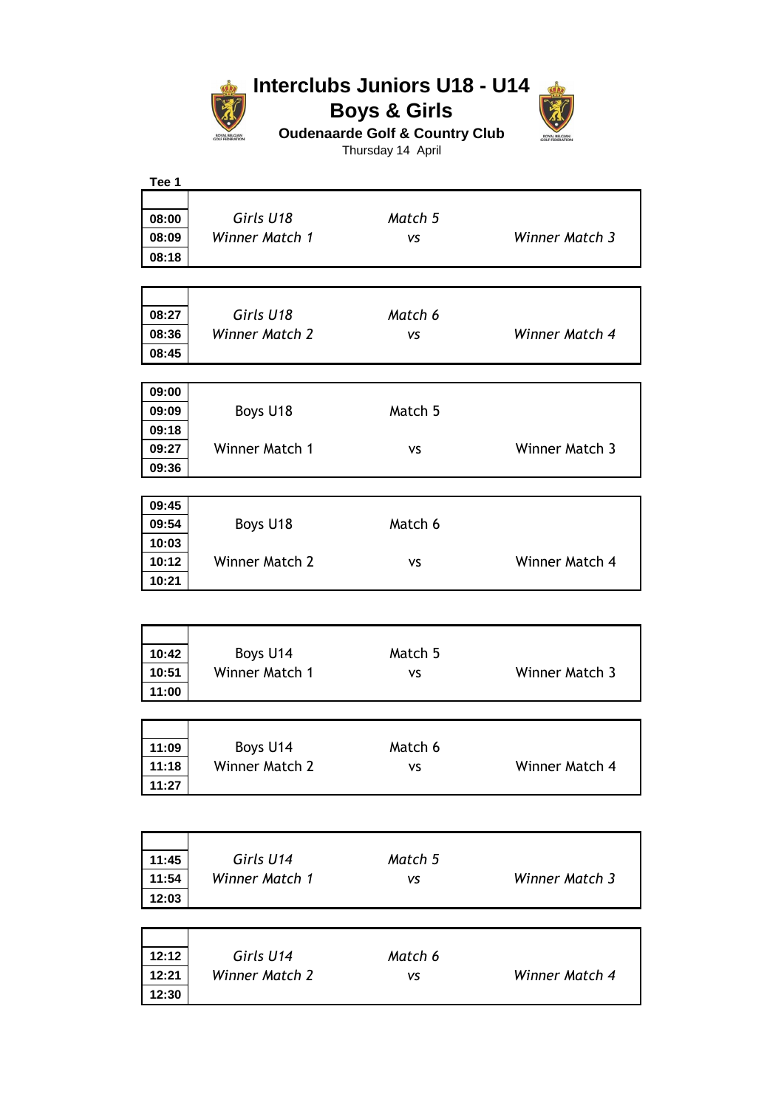

## **Interclubs Juniors U18 - U14 Boys & Girls**



**Oudenaarde Golf & Country Club**

Thursday 14 April

| Tee 1          |                |           |                |
|----------------|----------------|-----------|----------------|
|                |                |           |                |
| 08:00          | Girls U18      | Match 5   |                |
| 08:09          | Winner Match 1 | <b>VS</b> | Winner Match 3 |
| 08:18          |                |           |                |
|                |                |           |                |
|                |                |           |                |
|                |                |           |                |
| 08:27          | Girls U18      | Match 6   |                |
| 08:36          | Winner Match 2 | <b>VS</b> | Winner Match 4 |
| 08:45          |                |           |                |
|                |                |           |                |
| 09:00          |                |           |                |
| 09:09          | Boys U18       | Match 5   |                |
| 09:18          |                |           |                |
| 09:27          | Winner Match 1 | <b>VS</b> | Winner Match 3 |
| 09:36          |                |           |                |
|                |                |           |                |
|                |                |           |                |
| 09:45          |                |           |                |
| 09:54          | Boys U18       | Match 6   |                |
| 10:03          |                |           |                |
| 10:12          | Winner Match 2 | <b>VS</b> | Winner Match 4 |
| 10:21          |                |           |                |
|                |                |           |                |
|                |                |           |                |
|                |                |           |                |
| 10:42          | Boys U14       | Match 5   |                |
| 10:51          | Winner Match 1 | <b>VS</b> | Winner Match 3 |
| 11:00          |                |           |                |
|                |                |           |                |
|                |                |           |                |
| 11:09          | Boys U14       | Match 6   |                |
| 11:18          | Winner Match 2 | ٧S        | Winner Match 4 |
| 11:27          |                |           |                |
|                |                |           |                |
|                |                |           |                |
|                |                |           |                |
|                |                |           |                |
| 11:45          | Girls U14      | Match 5   |                |
| 11:54          |                |           | Winner Match 3 |
|                | Winner Match 1 | VS        |                |
| 12:03          |                |           |                |
|                |                |           |                |
|                |                |           |                |
| 12:12          | Girls U14      | Match 6   |                |
|                |                |           |                |
| 12:21<br>12:30 | Winner Match 2 | VS        | Winner Match 4 |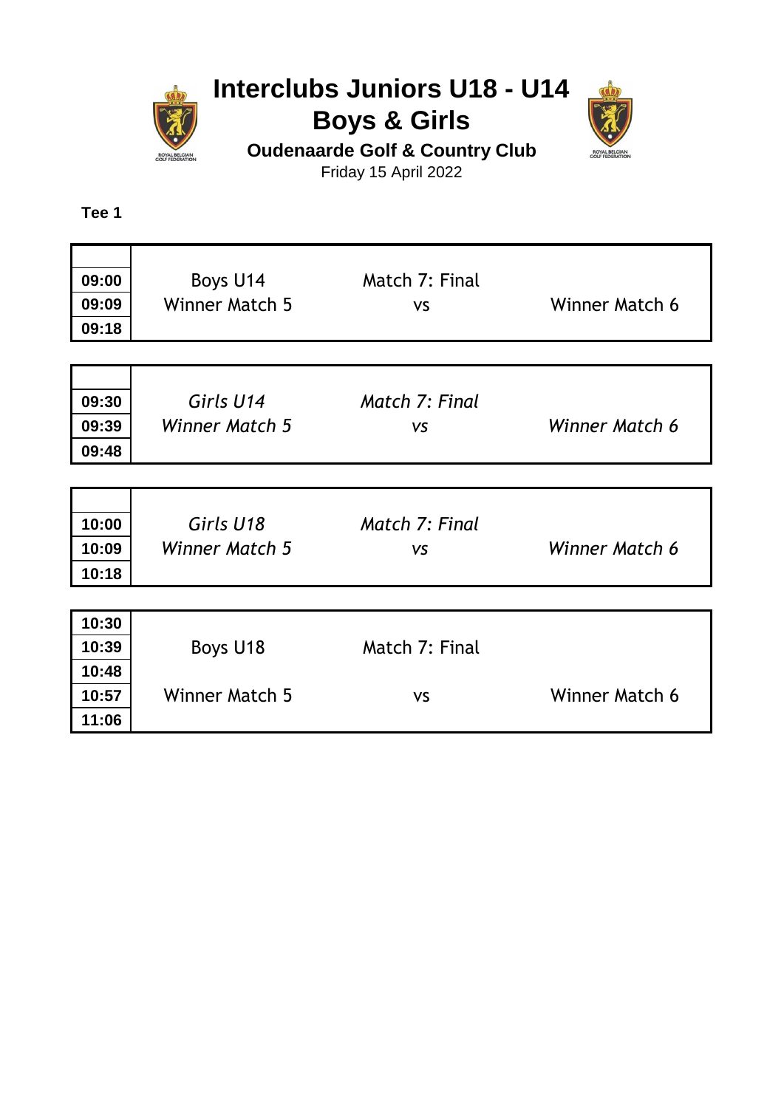

# **Interclubs Juniors U18 - U14 Boys & Girls**



**Oudenaarde Golf & Country Club**

Friday 15 April 2022

**Tee 1**

| 09:00<br>09:09<br>09:18 | Boys U14<br><b>Winner Match 5</b> | Match 7: Final<br><b>VS</b> | Winner Match 6 |
|-------------------------|-----------------------------------|-----------------------------|----------------|
|                         |                                   |                             |                |
| 09:30<br>09:39<br>09:48 | Girls U14<br>Winner Match 5       | Match 7: Final<br><b>VS</b> | Winner Match 6 |
|                         |                                   |                             |                |
| 10:00<br>10:09<br>10:18 | Girls U18<br>Winner Match 5       | Match 7: Final<br><b>VS</b> | Winner Match 6 |
| 10:30                   |                                   |                             |                |
| 10:39                   | Boys U18                          | Match 7: Final              |                |
|                         |                                   |                             |                |
| 10:48                   |                                   |                             |                |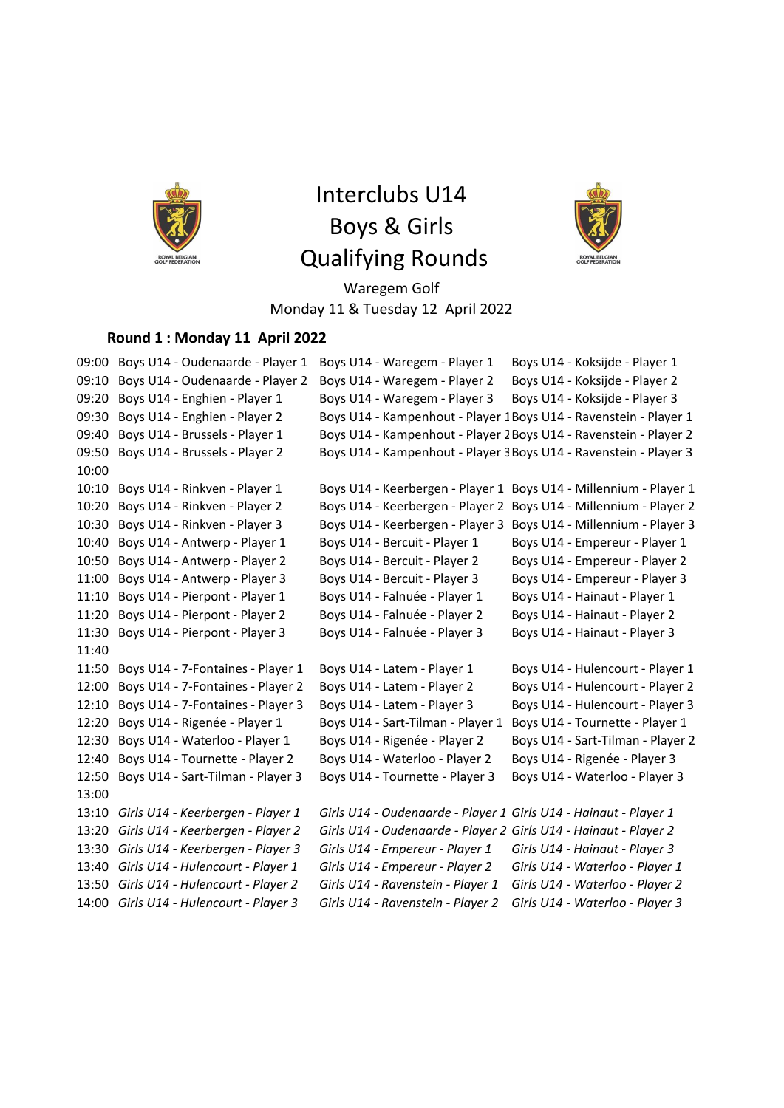

# Interclubs U14 Boys & Girls Qualifying Rounds



Waregem Golf Monday 11 & Tuesday 12 April 2022

#### **Round 1 : Monday 11 April 2022**

09:00 Boys U14 - Oudenaarde - Player 1 Boys U14 - Waregem - Player 1 Boys U14 - Koksijde - Player 1 09:10 Boys U14 - Oudenaarde - Player 2 Boys U14 - Waregem - Player 2 Boys U14 - Koksijde - Player 2 09:20 Boys U14 - Enghien - Player 1 Boys U14 - Waregem - Player 3 Boys U14 - Koksijde - Player 3 09:30 Boys U14 - Enghien - Player 2 Boys U14 - Kampenhout - Player 1Boys U14 - Ravenstein - Player 1 09:40 Boys U14 - Brussels - Player 1 Boys U14 - Kampenhout - Player 2Boys U14 - Ravenstein - Player 2 09:50 Boys U14 - Brussels - Player 2 Boys U14 - Kampenhout - Player 3Boys U14 - Ravenstein - Player 3 10:00 10:10 Boys U14 - Rinkven - Player 1 Boys U14 - Keerbergen - Player 1 Boys U14 - Millennium - Player 1 10:20 Boys U14 - Rinkven - Player 2 Boys U14 - Keerbergen - Player 2 Boys U14 - Millennium - Player 2 10:30 Boys U14 - Rinkven - Player 3 Boys U14 - Keerbergen - Player 3 Boys U14 - Millennium - Player 3 10:40 Boys U14 - Antwerp - Player 1 Boys U14 - Bercuit - Player 1 Boys U14 - Empereur - Player 1 10:50 Boys U14 - Antwerp - Player 2 Boys U14 - Bercuit - Player 2 Boys U14 - Empereur - Player 2 11:00 Boys U14 - Antwerp - Player 3 Boys U14 - Bercuit - Player 3 Boys U14 - Empereur - Player 3 11:10 Boys U14 - Pierpont - Player 1 Boys U14 - Falnuée - Player 1 Boys U14 - Hainaut - Player 1 11:20 Boys U14 - Pierpont - Player 2 Boys U14 - Falnuée - Player 2 Boys U14 - Hainaut - Player 2 11:30 Boys U14 - Pierpont - Player 3 Boys U14 - Falnuée - Player 3 Boys U14 - Hainaut - Player 3 11:40 11:50 Boys U14 - 7-Fontaines - Player 1 Boys U14 - Latem - Player 1 Boys U14 - Hulencourt - Player 1 12:00 Boys U14 - 7-Fontaines - Player 2 Boys U14 - Latem - Player 2 Boys U14 - Hulencourt - Player 2 12:10 Boys U14 - 7-Fontaines - Player 3 Boys U14 - Latem - Player 3 Boys U14 - Hulencourt - Player 3 12:20 Boys U14 - Rigenée - Player 1 Boys U14 - Sart-Tilman - Player 1 Boys U14 - Tournette - Player 1 12:30 Boys U14 - Waterloo - Player 1 Boys U14 - Rigenée - Player 2 Boys U14 - Sart-Tilman - Player 2 12:40 Boys U14 - Tournette - Player 2 Boys U14 - Waterloo - Player 2 Boys U14 - Rigenée - Player 3 12:50 Boys U14 - Sart-Tilman - Player 3 Boys U14 - Tournette - Player 3 Boys U14 - Waterloo - Player 3 13:00 13:10 *Girls U14 - Keerbergen - Player 1 Girls U14 - Oudenaarde - Player 1 Girls U14 - Hainaut - Player 1* 13:20 *Girls U14 - Keerbergen - Player 2 Girls U14 - Oudenaarde - Player 2 Girls U14 - Hainaut - Player 2* 13:30 *Girls U14 - Keerbergen - Player 3 Girls U14 - Empereur - Player 1 Girls U14 - Hainaut - Player 3* 13:40 *Girls U14 - Hulencourt - Player 1 Girls U14 - Empereur - Player 2 Girls U14 - Waterloo - Player 1* 13:50 *Girls U14 - Hulencourt - Player 2 Girls U14 - Ravenstein - Player 1 Girls U14 - Waterloo - Player 2* 14:00 *Girls U14 - Hulencourt - Player 3 Girls U14 - Ravenstein - Player 2 Girls U14 - Waterloo - Player 3*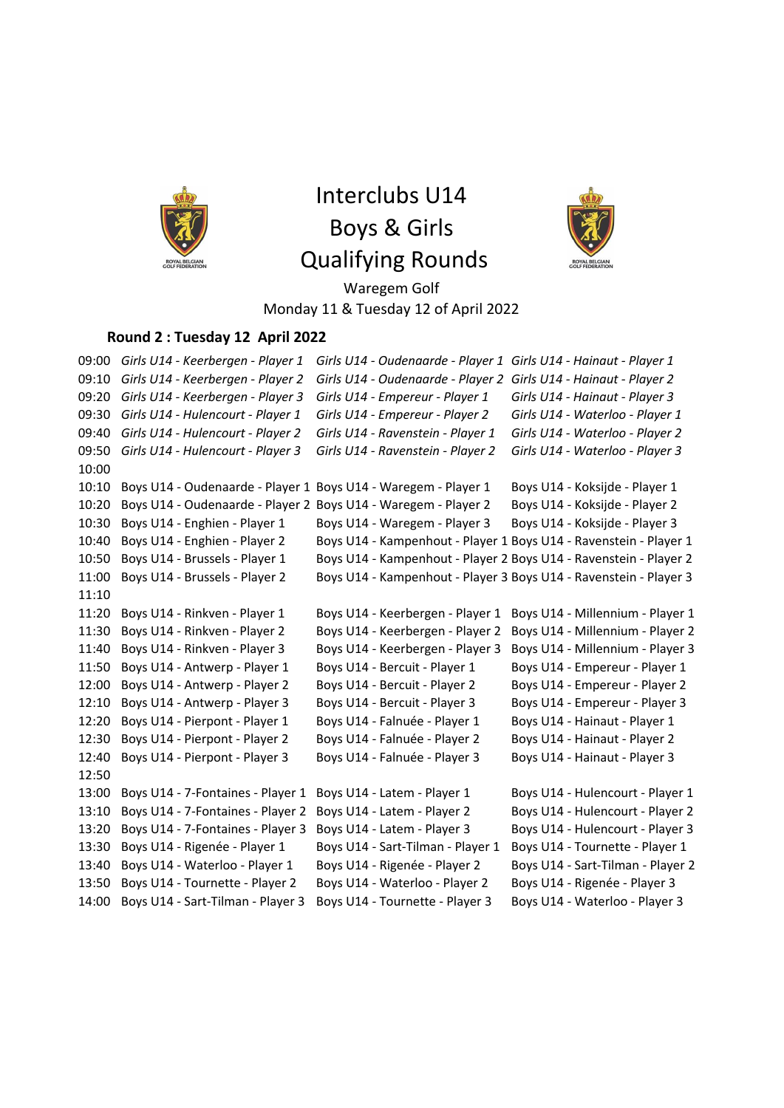

Interclubs U14 Boys & Girls Qualifying Rounds



Waregem Golf Monday 11 & Tuesday 12 of April 2022

### **Round 2 : Tuesday 12 April 2022**

09:00 *Girls U14 - Keerbergen - Player 1 Girls U14 - Oudenaarde - Player 1 Girls U14 - Hainaut - Player 1* 09:10 *Girls U14 - Keerbergen - Player 2 Girls U14 - Oudenaarde - Player 2 Girls U14 - Hainaut - Player 2* 09:20 *Girls U14 - Keerbergen - Player 3 Girls U14 - Empereur - Player 1 Girls U14 - Hainaut - Player 3* 09:30 *Girls U14 - Hulencourt - Player 1 Girls U14 - Empereur - Player 2 Girls U14 - Waterloo - Player 1* 09:40 *Girls U14 - Hulencourt - Player 2 Girls U14 - Ravenstein - Player 1 Girls U14 - Waterloo - Player 2* 09:50 *Girls U14 - Hulencourt - Player 3 Girls U14 - Ravenstein - Player 2 Girls U14 - Waterloo - Player 3* 10:00 10:10 Boys U14 - Oudenaarde - Player 1 Boys U14 - Waregem - Player 1 Boys U14 - Koksijde - Player 1 10:20 Boys U14 - Oudenaarde - Player 2 Boys U14 - Waregem - Player 2 Boys U14 - Koksijde - Player 2 10:30 Boys U14 - Enghien - Player 1 Boys U14 - Waregem - Player 3 Boys U14 - Koksijde - Player 3 10:40 Boys U14 - Enghien - Player 2 Boys U14 - Kampenhout - Player 1 Boys U14 - Ravenstein - Player 1 10:50 Boys U14 - Brussels - Player 1 Boys U14 - Kampenhout - Player 2 Boys U14 - Ravenstein - Player 2 11:00 Boys U14 - Brussels - Player 2 Boys U14 - Kampenhout - Player 3 Boys U14 - Ravenstein - Player 3 11:10 11:20 Boys U14 - Rinkven - Player 1 Boys U14 - Keerbergen - Player 1 Boys U14 - Millennium - Player 1 11:30 Boys U14 - Rinkven - Player 2 Boys U14 - Keerbergen - Player 2 Boys U14 - Millennium - Player 2 11:40 Boys U14 - Rinkven - Player 3 Boys U14 - Keerbergen - Player 3 Boys U14 - Millennium - Player 3 11:50 Boys U14 - Antwerp - Player 1 Boys U14 - Bercuit - Player 1 Boys U14 - Empereur - Player 1 12:00 Boys U14 - Antwerp - Player 2 Boys U14 - Bercuit - Player 2 Boys U14 - Empereur - Player 2 12:10 Boys U14 - Antwerp - Player 3 Boys U14 - Bercuit - Player 3 Boys U14 - Empereur - Player 3 12:20 Boys U14 - Pierpont - Player 1 Boys U14 - Falnuée - Player 1 Boys U14 - Hainaut - Player 1 12:30 Boys U14 - Pierpont - Player 2 Boys U14 - Falnuée - Player 2 Boys U14 - Hainaut - Player 2 12:40 Boys U14 - Pierpont - Player 3 Boys U14 - Falnuée - Player 3 Boys U14 - Hainaut - Player 3 12:50 13:00 Boys U14 - 7-Fontaines - Player 1 Boys U14 - Latem - Player 1 Boys U14 - Hulencourt - Player 1 13:10 Boys U14 - 7-Fontaines - Player 2 Boys U14 - Latem - Player 2 Boys U14 - Hulencourt - Player 2 13:20 Boys U14 - 7-Fontaines - Player 3 Boys U14 - Latem - Player 3 Boys U14 - Hulencourt - Player 3 13:30 Boys U14 - Rigenée - Player 1 Boys U14 - Sart-Tilman - Player 1 Boys U14 - Tournette - Player 1 13:40 Boys U14 - Waterloo - Player 1 Boys U14 - Rigenée - Player 2 Boys U14 - Sart-Tilman - Player 2 13:50 Boys U14 - Tournette - Player 2 Boys U14 - Waterloo - Player 2 Boys U14 - Rigenée - Player 3 14:00 Boys U14 - Sart-Tilman - Player 3 Boys U14 - Tournette - Player 3 Boys U14 - Waterloo - Player 3